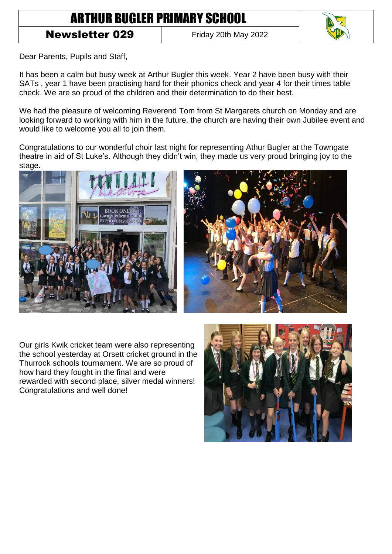## ARTHUR BUGLER PRIMARY SCHOOL

## **Newsletter 029** Friday 20th May 2022



Dear Parents, Pupils and Staff,

It has been a calm but busy week at Arthur Bugler this week. Year 2 have been busy with their SATs , year 1 have been practising hard for their phonics check and year 4 for their times table check. We are so proud of the children and their determination to do their best.

We had the pleasure of welcoming Reverend Tom from St Margarets church on Monday and are looking forward to working with him in the future, the church are having their own Jubilee event and would like to welcome you all to join them.

Congratulations to our wonderful choir last night for representing Athur Bugler at the Towngate theatre in aid of St Luke's. Although they didn't win, they made us very proud bringing joy to the stage.





Our girls Kwik cricket team were also representing the school yesterday at Orsett cricket ground in the Thurrock schools tournament. We are so proud of how hard they fought in the final and were rewarded with second place, silver medal winners! Congratulations and well done!

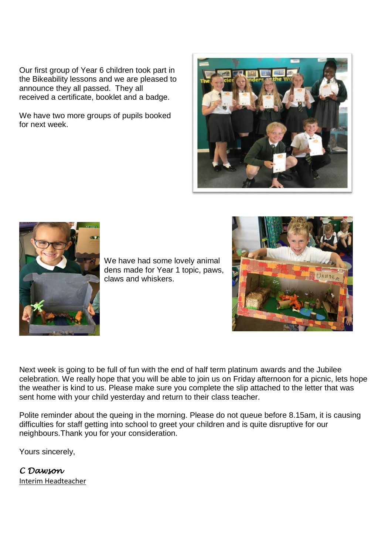Our first group of Year 6 children took part in the Bikeability lessons and we are pleased to announce they all passed. They all received a certificate, booklet and a badge.

We have two more groups of pupils booked for next week.





We have had some lovely animal dens made for Year 1 topic, paws, claws and whiskers.



Next week is going to be full of fun with the end of half term platinum awards and the Jubilee celebration. We really hope that you will be able to join us on Friday afternoon for a picnic, lets hope the weather is kind to us. Please make sure you complete the slip attached to the letter that was sent home with your child yesterday and return to their class teacher.

Polite reminder about the queing in the morning. Please do not queue before 8.15am, it is causing difficulties for staff getting into school to greet your children and is quite disruptive for our neighbours.Thank you for your consideration.

Yours sincerely,

*C Dawson*  Interim Headteacher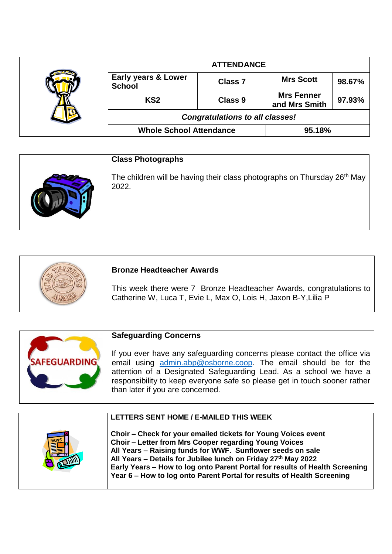|  |                                                 | <b>ATTENDANCE</b> |                                    |        |
|--|-------------------------------------------------|-------------------|------------------------------------|--------|
|  | <b>Early years &amp; Lower</b><br><b>School</b> | <b>Class 7</b>    | <b>Mrs Scott</b>                   | 98.67% |
|  | KS <sub>2</sub>                                 | <b>Class 9</b>    | <b>Mrs Fenner</b><br>and Mrs Smith | 97.93% |
|  | <b>Congratulations to all classes!</b>          |                   |                                    |        |
|  | <b>Whole School Attendance</b>                  |                   | 95.18%                             |        |

| <b>Class Photographs</b>                                                            |
|-------------------------------------------------------------------------------------|
| The children will be having their class photographs on Thursday $26th$ May<br>2022. |

| <b>Bronze Headteacher Awards</b>                                                                                                       |
|----------------------------------------------------------------------------------------------------------------------------------------|
| This week there were 7 Bronze Headteacher Awards, congratulations to<br>Catherine W, Luca T, Evie L, Max O, Lois H, Jaxon B-Y, Lilia P |

| <b>SAFEGUARDING</b> | <b>Safeguarding Concerns</b><br>If you ever have any safeguarding concerns please contact the office via<br>email using admin.abp@osborne.coop. The email should be for the<br>attention of a Designated Safeguarding Lead. As a school we have a<br>responsibility to keep everyone safe so please get in touch sooner rather<br>than later if you are concerned. |
|---------------------|--------------------------------------------------------------------------------------------------------------------------------------------------------------------------------------------------------------------------------------------------------------------------------------------------------------------------------------------------------------------|
|---------------------|--------------------------------------------------------------------------------------------------------------------------------------------------------------------------------------------------------------------------------------------------------------------------------------------------------------------------------------------------------------------|

| LETTERS SENT HOME / E-MAILED THIS WEEK                                                                                                                                                                                                                                                                                                                                                                         |
|----------------------------------------------------------------------------------------------------------------------------------------------------------------------------------------------------------------------------------------------------------------------------------------------------------------------------------------------------------------------------------------------------------------|
| Choir – Check for your emailed tickets for Young Voices event<br>Choir – Letter from Mrs Cooper regarding Young Voices<br>All Years - Raising funds for WWF. Sunflower seeds on sale<br>All Years - Details for Jubilee lunch on Friday 27th May 2022<br>Early Years - How to log onto Parent Portal for results of Health Screening<br>Year 6 - How to log onto Parent Portal for results of Health Screening |